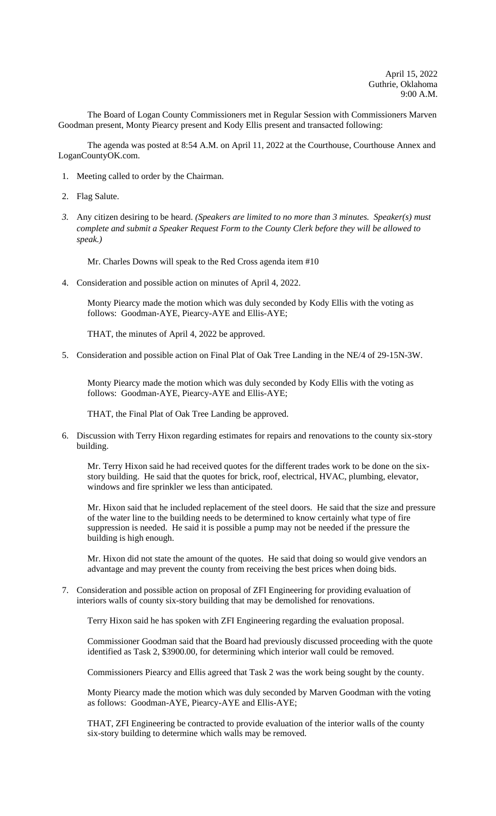The Board of Logan County Commissioners met in Regular Session with Commissioners Marven Goodman present, Monty Piearcy present and Kody Ellis present and transacted following:

The agenda was posted at 8:54 A.M. on April 11, 2022 at the Courthouse, Courthouse Annex and LoganCountyOK.com.

- 1. Meeting called to order by the Chairman.
- 2. Flag Salute.
- *3.* Any citizen desiring to be heard. *(Speakers are limited to no more than 3 minutes. Speaker(s) must complete and submit a Speaker Request Form to the County Clerk before they will be allowed to speak.)*

Mr. Charles Downs will speak to the Red Cross agenda item #10

4. Consideration and possible action on minutes of April 4, 2022.

Monty Piearcy made the motion which was duly seconded by Kody Ellis with the voting as follows: Goodman-AYE, Piearcy-AYE and Ellis-AYE;

THAT, the minutes of April 4, 2022 be approved.

5. Consideration and possible action on Final Plat of Oak Tree Landing in the NE/4 of 29-15N-3W.

Monty Piearcy made the motion which was duly seconded by Kody Ellis with the voting as follows: Goodman-AYE, Piearcy-AYE and Ellis-AYE;

THAT, the Final Plat of Oak Tree Landing be approved.

6. Discussion with Terry Hixon regarding estimates for repairs and renovations to the county six-story building.

Mr. Terry Hixon said he had received quotes for the different trades work to be done on the sixstory building. He said that the quotes for brick, roof, electrical, HVAC, plumbing, elevator, windows and fire sprinkler we less than anticipated.

Mr. Hixon said that he included replacement of the steel doors. He said that the size and pressure of the water line to the building needs to be determined to know certainly what type of fire suppression is needed. He said it is possible a pump may not be needed if the pressure the building is high enough.

Mr. Hixon did not state the amount of the quotes. He said that doing so would give vendors an advantage and may prevent the county from receiving the best prices when doing bids.

7. Consideration and possible action on proposal of ZFI Engineering for providing evaluation of interiors walls of county six-story building that may be demolished for renovations.

Terry Hixon said he has spoken with ZFI Engineering regarding the evaluation proposal.

Commissioner Goodman said that the Board had previously discussed proceeding with the quote identified as Task 2, \$3900.00, for determining which interior wall could be removed.

Commissioners Piearcy and Ellis agreed that Task 2 was the work being sought by the county.

Monty Piearcy made the motion which was duly seconded by Marven Goodman with the voting as follows: Goodman-AYE, Piearcy-AYE and Ellis-AYE;

THAT, ZFI Engineering be contracted to provide evaluation of the interior walls of the county six-story building to determine which walls may be removed.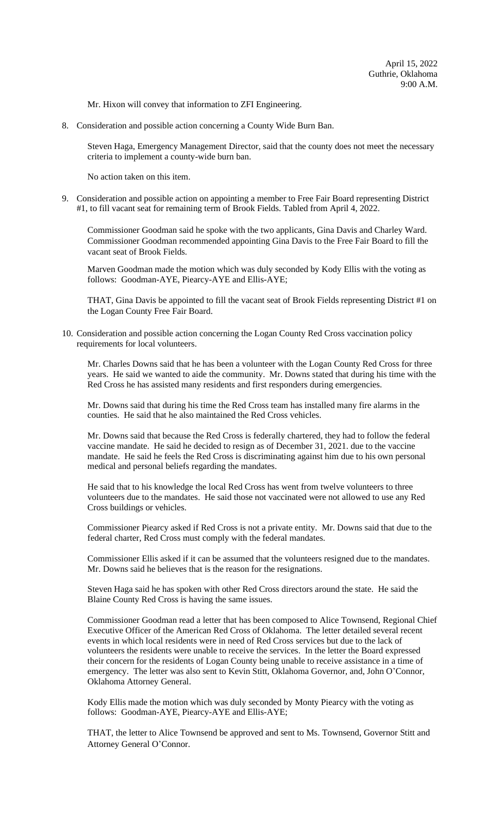Mr. Hixon will convey that information to ZFI Engineering.

8. Consideration and possible action concerning a County Wide Burn Ban.

Steven Haga, Emergency Management Director, said that the county does not meet the necessary criteria to implement a county-wide burn ban.

No action taken on this item.

9. Consideration and possible action on appointing a member to Free Fair Board representing District #1, to fill vacant seat for remaining term of Brook Fields. Tabled from April 4, 2022.

Commissioner Goodman said he spoke with the two applicants, Gina Davis and Charley Ward. Commissioner Goodman recommended appointing Gina Davis to the Free Fair Board to fill the vacant seat of Brook Fields.

Marven Goodman made the motion which was duly seconded by Kody Ellis with the voting as follows: Goodman-AYE, Piearcy-AYE and Ellis-AYE;

THAT, Gina Davis be appointed to fill the vacant seat of Brook Fields representing District #1 on the Logan County Free Fair Board.

10. Consideration and possible action concerning the Logan County Red Cross vaccination policy requirements for local volunteers.

Mr. Charles Downs said that he has been a volunteer with the Logan County Red Cross for three years. He said we wanted to aide the community. Mr. Downs stated that during his time with the Red Cross he has assisted many residents and first responders during emergencies.

Mr. Downs said that during his time the Red Cross team has installed many fire alarms in the counties. He said that he also maintained the Red Cross vehicles.

Mr. Downs said that because the Red Cross is federally chartered, they had to follow the federal vaccine mandate. He said he decided to resign as of December 31, 2021. due to the vaccine mandate. He said he feels the Red Cross is discriminating against him due to his own personal medical and personal beliefs regarding the mandates.

He said that to his knowledge the local Red Cross has went from twelve volunteers to three volunteers due to the mandates. He said those not vaccinated were not allowed to use any Red Cross buildings or vehicles.

Commissioner Piearcy asked if Red Cross is not a private entity. Mr. Downs said that due to the federal charter, Red Cross must comply with the federal mandates.

Commissioner Ellis asked if it can be assumed that the volunteers resigned due to the mandates. Mr. Downs said he believes that is the reason for the resignations.

Steven Haga said he has spoken with other Red Cross directors around the state. He said the Blaine County Red Cross is having the same issues.

Commissioner Goodman read a letter that has been composed to Alice Townsend, Regional Chief Executive Officer of the American Red Cross of Oklahoma. The letter detailed several recent events in which local residents were in need of Red Cross services but due to the lack of volunteers the residents were unable to receive the services. In the letter the Board expressed their concern for the residents of Logan County being unable to receive assistance in a time of emergency. The letter was also sent to Kevin Stitt, Oklahoma Governor, and, John O'Connor, Oklahoma Attorney General.

Kody Ellis made the motion which was duly seconded by Monty Piearcy with the voting as follows: Goodman-AYE, Piearcy-AYE and Ellis-AYE;

THAT, the letter to Alice Townsend be approved and sent to Ms. Townsend, Governor Stitt and Attorney General O'Connor.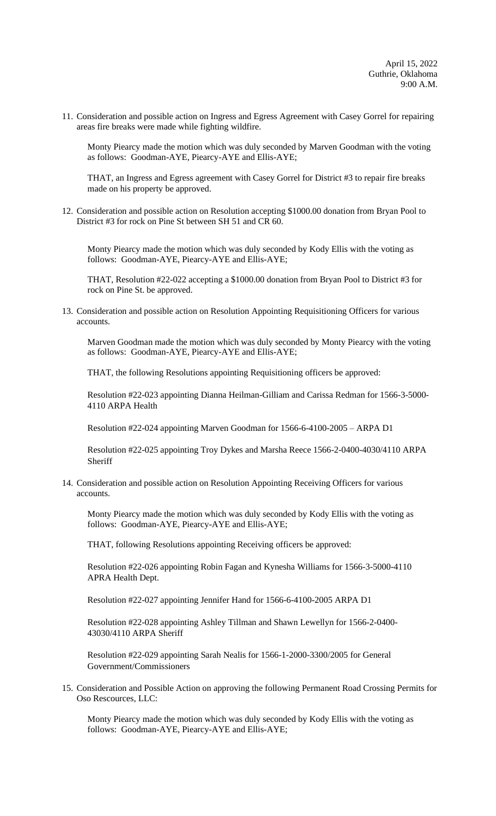11. Consideration and possible action on Ingress and Egress Agreement with Casey Gorrel for repairing areas fire breaks were made while fighting wildfire.

Monty Piearcy made the motion which was duly seconded by Marven Goodman with the voting as follows: Goodman-AYE, Piearcy-AYE and Ellis-AYE;

THAT, an Ingress and Egress agreement with Casey Gorrel for District #3 to repair fire breaks made on his property be approved.

12. Consideration and possible action on Resolution accepting \$1000.00 donation from Bryan Pool to District #3 for rock on Pine St between SH 51 and CR 60.

Monty Piearcy made the motion which was duly seconded by Kody Ellis with the voting as follows: Goodman-AYE, Piearcy-AYE and Ellis-AYE;

THAT, Resolution #22-022 accepting a \$1000.00 donation from Bryan Pool to District #3 for rock on Pine St. be approved.

13. Consideration and possible action on Resolution Appointing Requisitioning Officers for various accounts.

Marven Goodman made the motion which was duly seconded by Monty Piearcy with the voting as follows: Goodman-AYE, Piearcy-AYE and Ellis-AYE;

THAT, the following Resolutions appointing Requisitioning officers be approved:

Resolution #22-023 appointing Dianna Heilman-Gilliam and Carissa Redman for 1566-3-5000- 4110 ARPA Health

Resolution #22-024 appointing Marven Goodman for 1566-6-4100-2005 – ARPA D1

Resolution #22-025 appointing Troy Dykes and Marsha Reece 1566-2-0400-4030/4110 ARPA Sheriff

14. Consideration and possible action on Resolution Appointing Receiving Officers for various accounts.

Monty Piearcy made the motion which was duly seconded by Kody Ellis with the voting as follows: Goodman-AYE, Piearcy-AYE and Ellis-AYE;

THAT, following Resolutions appointing Receiving officers be approved:

Resolution #22-026 appointing Robin Fagan and Kynesha Williams for 1566-3-5000-4110 APRA Health Dept.

Resolution #22-027 appointing Jennifer Hand for 1566-6-4100-2005 ARPA D1

Resolution #22-028 appointing Ashley Tillman and Shawn Lewellyn for 1566-2-0400- 43030/4110 ARPA Sheriff

Resolution #22-029 appointing Sarah Nealis for 1566-1-2000-3300/2005 for General Government/Commissioners

15. Consideration and Possible Action on approving the following Permanent Road Crossing Permits for Oso Rescources, LLC:

Monty Piearcy made the motion which was duly seconded by Kody Ellis with the voting as follows: Goodman-AYE, Piearcy-AYE and Ellis-AYE;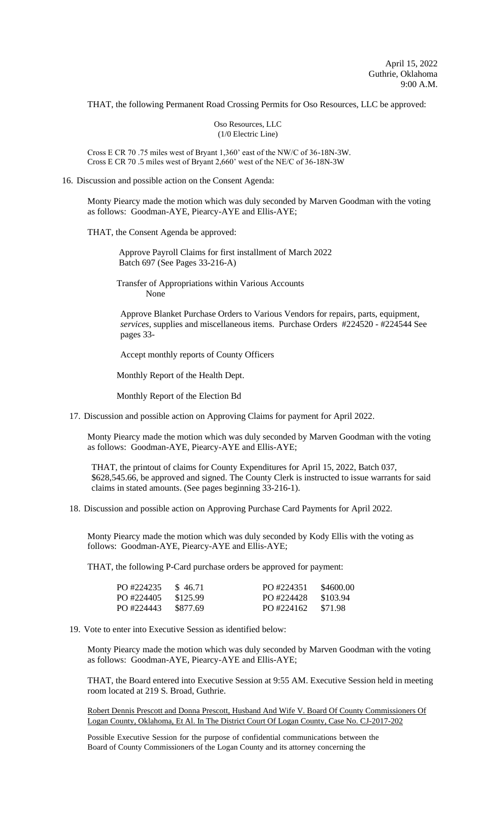THAT, the following Permanent Road Crossing Permits for Oso Resources, LLC be approved:

Oso Resources, LLC (1/0 Electric Line)

Cross E CR 70 .75 miles west of Bryant 1,360' east of the NW/C of 36-18N-3W. Cross E CR 70 .5 miles west of Bryant 2,660' west of the NE/C of 36-18N-3W

16. Discussion and possible action on the Consent Agenda:

Monty Piearcy made the motion which was duly seconded by Marven Goodman with the voting as follows: Goodman-AYE, Piearcy-AYE and Ellis-AYE;

THAT, the Consent Agenda be approved:

 Approve Payroll Claims for first installment of March 2022 Batch 697 (See Pages 33-216-A)

Transfer of Appropriations within Various Accounts None

Approve Blanket Purchase Orders to Various Vendors for repairs, parts, equipment, *services*, supplies and miscellaneous items. Purchase Orders #224520 - #224544 See pages 33-

Accept monthly reports of County Officers

Monthly Report of the Health Dept.

Monthly Report of the Election Bd

17. Discussion and possible action on Approving Claims for payment for April 2022.

Monty Piearcy made the motion which was duly seconded by Marven Goodman with the voting as follows: Goodman-AYE, Piearcy-AYE and Ellis-AYE;

THAT, the printout of claims for County Expenditures for April 15, 2022, Batch 037, \$628,545.66, be approved and signed. The County Clerk is instructed to issue warrants for said claims in stated amounts. (See pages beginning 33-216-1).

18. Discussion and possible action on Approving Purchase Card Payments for April 2022.

Monty Piearcy made the motion which was duly seconded by Kody Ellis with the voting as follows: Goodman-AYE, Piearcy-AYE and Ellis-AYE;

THAT, the following P-Card purchase orders be approved for payment:

| PO #224235 | \$46.71  | PO #224351 | \$4600.00 |
|------------|----------|------------|-----------|
| PO #224405 | \$125.99 | PO #224428 | \$103.94  |
| PO #224443 | \$877.69 | PO #224162 | \$71.98   |

19. Vote to enter into Executive Session as identified below:

Monty Piearcy made the motion which was duly seconded by Marven Goodman with the voting as follows: Goodman-AYE, Piearcy-AYE and Ellis-AYE;

THAT, the Board entered into Executive Session at 9:55 AM. Executive Session held in meeting room located at 219 S. Broad, Guthrie.

Robert Dennis Prescott and Donna Prescott, Husband And Wife V. Board Of County Commissioners Of Logan County, Oklahoma, Et Al. In The District Court Of Logan County, Case No. CJ-2017-202

Possible Executive Session for the purpose of confidential communications between the Board of County Commissioners of the Logan County and its attorney concerning the